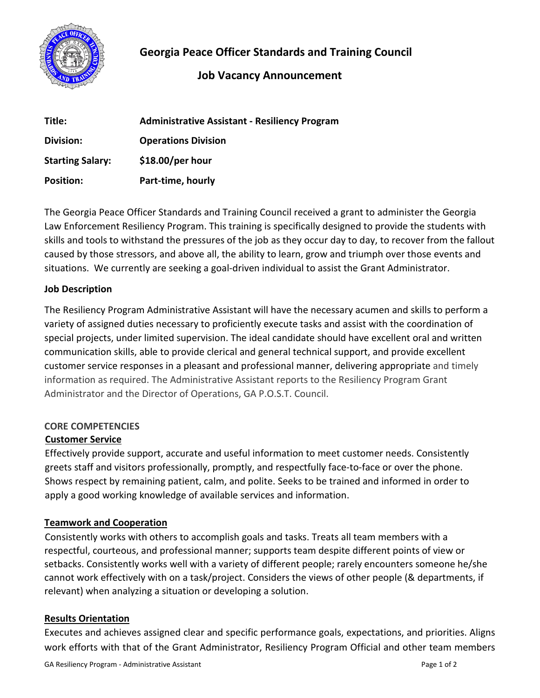

# **Georgia Peace Officer Standards and Training Council**

# **Job Vacancy Announcement**

| Title:                  | <b>Administrative Assistant - Resiliency Program</b> |
|-------------------------|------------------------------------------------------|
| Division:               | <b>Operations Division</b>                           |
| <b>Starting Salary:</b> | $$18.00/per$ hour                                    |
| <b>Position:</b>        | Part-time, hourly                                    |

The Georgia Peace Officer Standards and Training Council received a grant to administer the Georgia Law Enforcement Resiliency Program. This training is specifically designed to provide the students with skills and tools to withstand the pressures of the job as they occur day to day, to recover from the fallout caused by those stressors, and above all, the ability to learn, grow and triumph over those events and situations. We currently are seeking a goal-driven individual to assist the Grant Administrator.

### **Job Description**

The Resiliency Program Administrative Assistant will have the necessary acumen and skills to perform a variety of assigned duties necessary to proficiently execute tasks and assist with the coordination of special projects, under limited supervision. The ideal candidate should have excellent oral and written communication skills, able to provide clerical and general technical support, and provide excellent customer service responses in a pleasant and professional manner, delivering appropriate and timely information as required. The Administrative Assistant reports to the Resiliency Program Grant Administrator and the Director of Operations, GA P.O.S.T. Council.

## **CORE COMPETENCIES**

## **Customer Service**

Effectively provide support, accurate and useful information to meet customer needs. Consistently greets staff and visitors professionally, promptly, and respectfully face-to-face or over the phone. Shows respect by remaining patient, calm, and polite. Seeks to be trained and informed in order to apply a good working knowledge of available services and information.

## **Teamwork and Cooperation**

Consistently works with others to accomplish goals and tasks. Treats all team members with a respectful, courteous, and professional manner; supports team despite different points of view or setbacks. Consistently works well with a variety of different people; rarely encounters someone he/she cannot work effectively with on a task/project. Considers the views of other people (& departments, if relevant) when analyzing a situation or developing a solution.

## **Results Orientation**

Executes and achieves assigned clear and specific performance goals, expectations, and priorities. Aligns work efforts with that of the Grant Administrator, Resiliency Program Official and other team members